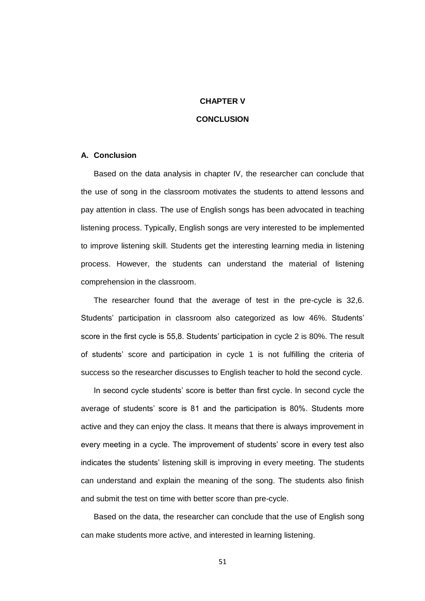## **CHAPTER V**

## **CONCLUSION**

## **A. Conclusion**

Based on the data analysis in chapter IV, the researcher can conclude that the use of song in the classroom motivates the students to attend lessons and pay attention in class. The use of English songs has been advocated in teaching listening process. Typically, English songs are very interested to be implemented to improve listening skill. Students get the interesting learning media in listening process. However, the students can understand the material of listening comprehension in the classroom.

The researcher found that the average of test in the pre-cycle is 32,6. Students' participation in classroom also categorized as low 46%. Students' score in the first cycle is 55,8. Students' participation in cycle 2 is 80%. The result of students' score and participation in cycle 1 is not fulfilling the criteria of success so the researcher discusses to English teacher to hold the second cycle.

In second cycle students' score is better than first cycle. In second cycle the average of students' score is 81 and the participation is 80%. Students more active and they can enjoy the class. It means that there is always improvement in every meeting in a cycle. The improvement of students' score in every test also indicates the students' listening skill is improving in every meeting. The students can understand and explain the meaning of the song. The students also finish and submit the test on time with better score than pre-cycle.

Based on the data, the researcher can conclude that the use of English song can make students more active, and interested in learning listening.